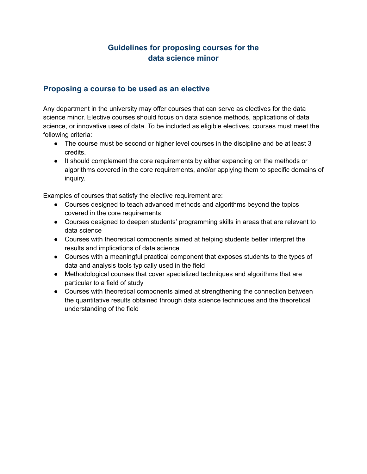# **Guidelines for proposing courses for the data science minor**

# **Proposing a course to be used as an elective**

Any department in the university may offer courses that can serve as electives for the data science minor. Elective courses should focus on data science methods, applications of data science, or innovative uses of data. To be included as eligible electives, courses must meet the following criteria:

- The course must be second or higher level courses in the discipline and be at least 3 credits.
- It should complement the core requirements by either expanding on the methods or algorithms covered in the core requirements, and/or applying them to specific domains of inquiry.

Examples of courses that satisfy the elective requirement are:

- Courses designed to teach advanced methods and algorithms beyond the topics covered in the core requirements
- Courses designed to deepen students' programming skills in areas that are relevant to data science
- Courses with theoretical components aimed at helping students better interpret the results and implications of data science
- Courses with a meaningful practical component that exposes students to the types of data and analysis tools typically used in the field
- Methodological courses that cover specialized techniques and algorithms that are particular to a field of study
- Courses with theoretical components aimed at strengthening the connection between the quantitative results obtained through data science techniques and the theoretical understanding of the field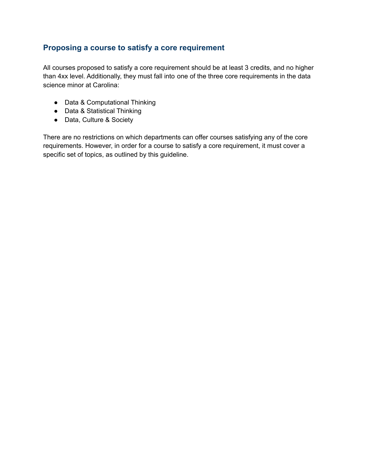# **Proposing a course to satisfy a core requirement**

All courses proposed to satisfy a core requirement should be at least 3 credits, and no higher than 4xx level. Additionally, they must fall into one of the three core requirements in the data science minor at Carolina:

- Data & Computational Thinking
- Data & Statistical Thinking
- Data, Culture & Society

There are no restrictions on which departments can offer courses satisfying any of the core requirements. However, in order for a course to satisfy a core requirement, it must cover a specific set of topics, as outlined by this guideline.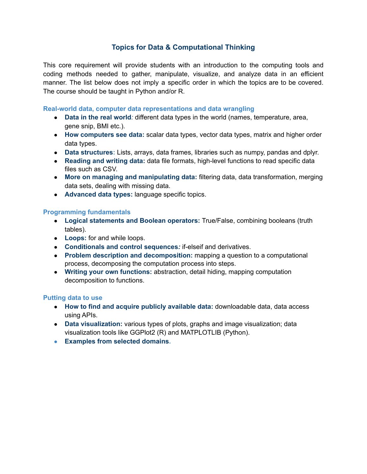# **Topics for Data & Computational Thinking**

This core requirement will provide students with an introduction to the computing tools and coding methods needed to gather, manipulate, visualize, and analyze data in an efficient manner. The list below does not imply a specific order in which the topics are to be covered. The course should be taught in Python and/or R.

#### **Real-world data, computer data representations and data wrangling**

- **Data in the real world***:* different data types in the world (names, temperature, area, gene snip, BMI etc.).
- **How computers see data:** scalar data types, vector data types, matrix and higher order data types.
- **Data structures:** Lists, arrays, data frames, libraries such as numpy, pandas and dplyr.
- **Reading and writing data:** data file formats, high-level functions to read specific data files such as CSV.
- **More on managing and manipulating data:** filtering data, data transformation, merging data sets, dealing with missing data.
- **Advanced data types:** language specific topics.

# **Programming fundamentals**

- **Logical statements and Boolean operators:** True/False, combining booleans (truth tables).
- **Loops:** for and while loops.
- **Conditionals and control sequences***:* if-elseif and derivatives.
- **Problem description and decomposition:** mapping a question to a computational process, decomposing the computation process into steps.
- **Writing your own functions:** abstraction, detail hiding, mapping computation decomposition to functions.

## **Putting data to use**

- **How to find and acquire publicly available data:** downloadable data, data access using APIs.
- **Data visualization:** various types of plots, graphs and image visualization; data visualization tools like GGPlot2 (R) and MATPLOTLIB (Python).
- **● Examples from selected domains.**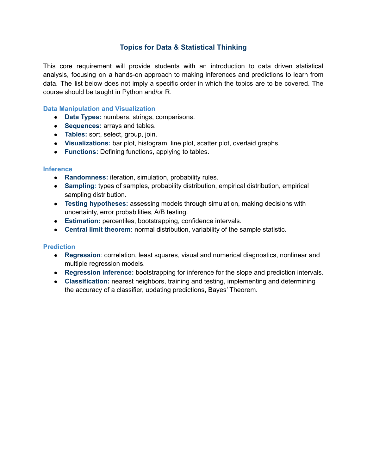# **Topics for Data & Statistical Thinking**

This core requirement will provide students with an introduction to data driven statistical analysis, focusing on a hands-on approach to making inferences and predictions to learn from data. The list below does not imply a specific order in which the topics are to be covered. The course should be taught in Python and/or R.

#### **Data Manipulation and Visualization**

- **Data Types:** numbers, strings, comparisons.
- **Sequences:** arrays and tables.
- **Tables:** sort, select, group, join.
- **Visualizations:** bar plot, histogram, line plot, scatter plot, overlaid graphs.
- **Functions:** Defining functions, applying to tables.

#### **Inference**

- **Randomness:** iteration, simulation, probability rules.
- **Sampling:** types of samples, probability distribution, empirical distribution, empirical sampling distribution.
- **Testing hypotheses:** assessing models through simulation, making decisions with uncertainty, error probabilities, A/B testing.
- **Estimation:** percentiles, bootstrapping, confidence intervals.
- **Central limit theorem:** normal distribution, variability of the sample statistic.

## **Prediction**

- **Regression***:* correlation, least squares, visual and numerical diagnostics, nonlinear and multiple regression models.
- **Regression inference:** bootstrapping for inference for the slope and prediction intervals.
- **Classification:** nearest neighbors, training and testing, implementing and determining the accuracy of a classifier, updating predictions, Bayes' Theorem.